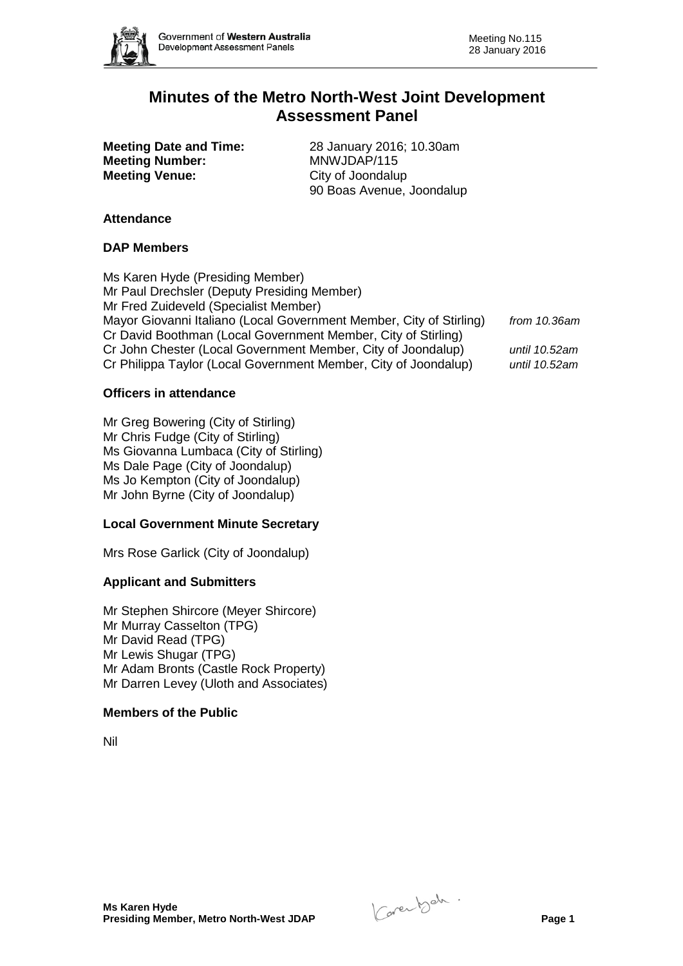

# **Minutes of the Metro North-West Joint Development Assessment Panel**

**Meeting Number:** MNWJDAP/115<br> **Meeting Venue:** City of Joondalup **Meeting Venue:** 

**Meeting Date and Time:** 28 January 2016; 10.30am<br> **Meeting Number:** MNWJDAP/115 90 Boas Avenue, Joondalup

## **Attendance**

## **DAP Members**

Ms Karen Hyde (Presiding Member) Mr Paul Drechsler (Deputy Presiding Member) Mr Fred Zuideveld (Specialist Member) Mayor Giovanni Italiano (Local Government Member, City of Stirling) *from 10.36am* Cr David Boothman (Local Government Member, City of Stirling) Cr John Chester (Local Government Member, City of Joondalup) *until 10.52am* Cr Philippa Taylor (Local Government Member, City of Joondalup) *until 10.52am*

## **Officers in attendance**

Mr Greg Bowering (City of Stirling) Mr Chris Fudge (City of Stirling) Ms Giovanna Lumbaca (City of Stirling) Ms Dale Page (City of Joondalup) Ms Jo Kempton (City of Joondalup) Mr John Byrne (City of Joondalup)

## **Local Government Minute Secretary**

Mrs Rose Garlick (City of Joondalup)

## **Applicant and Submitters**

Mr Stephen Shircore (Meyer Shircore) Mr Murray Casselton (TPG) Mr David Read (TPG) Mr Lewis Shugar (TPG) Mr Adam Bronts (Castle Rock Property) Mr Darren Levey (Uloth and Associates)

#### **Members of the Public**

Nil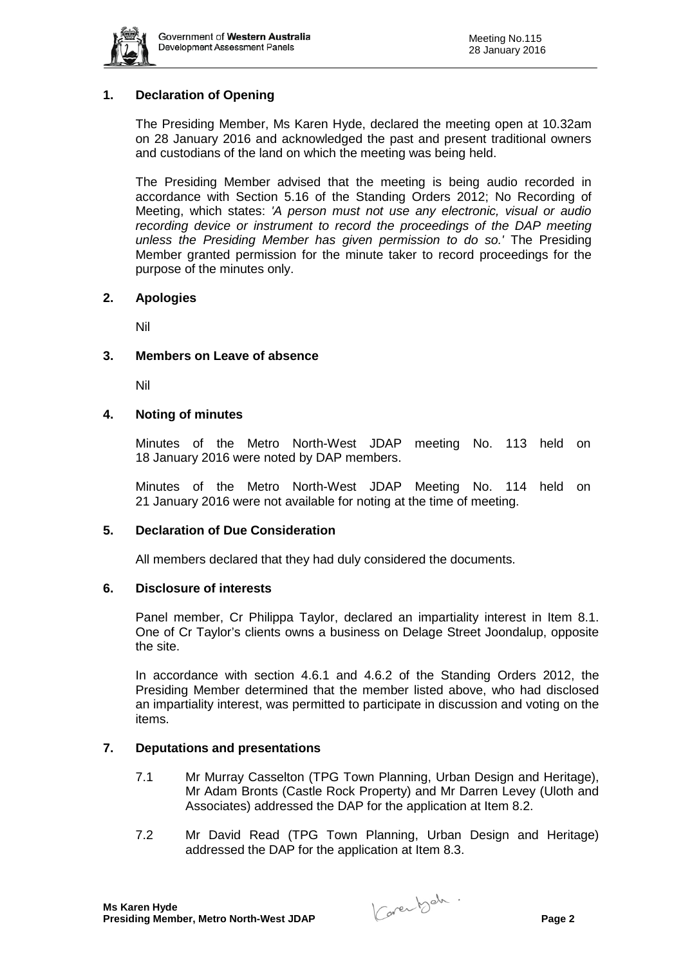

# **1. Declaration of Opening**

The Presiding Member, Ms Karen Hyde, declared the meeting open at 10.32am on 28 January 2016 and acknowledged the past and present traditional owners and custodians of the land on which the meeting was being held.

The Presiding Member advised that the meeting is being audio recorded in accordance with Section 5.16 of the Standing Orders 2012; No Recording of Meeting, which states: *'A person must not use any electronic, visual or audio recording device or instrument to record the proceedings of the DAP meeting unless the Presiding Member has given permission to do so.'* The Presiding Member granted permission for the minute taker to record proceedings for the purpose of the minutes only.

#### **2. Apologies**

Nil

#### **3. Members on Leave of absence**

Nil

#### **4. Noting of minutes**

Minutes of the Metro North-West JDAP meeting No. 113 held on 18 January 2016 were noted by DAP members.

Minutes of the Metro North-West JDAP Meeting No. 114 held on 21 January 2016 were not available for noting at the time of meeting.

#### **5. Declaration of Due Consideration**

All members declared that they had duly considered the documents.

#### **6. Disclosure of interests**

Panel member, Cr Philippa Taylor, declared an impartiality interest in Item 8.1. One of Cr Taylor's clients owns a business on Delage Street Joondalup, opposite the site.

In accordance with section 4.6.1 and 4.6.2 of the Standing Orders 2012, the Presiding Member determined that the member listed above, who had disclosed an impartiality interest, was permitted to participate in discussion and voting on the items.

## **7. Deputations and presentations**

- 7.1 Mr Murray Casselton (TPG Town Planning, Urban Design and Heritage), Mr Adam Bronts (Castle Rock Property) and Mr Darren Levey (Uloth and Associates) addressed the DAP for the application at Item 8.2.
- 7.2 Mr David Read (TPG Town Planning, Urban Design and Heritage) addressed the DAP for the application at Item 8.3.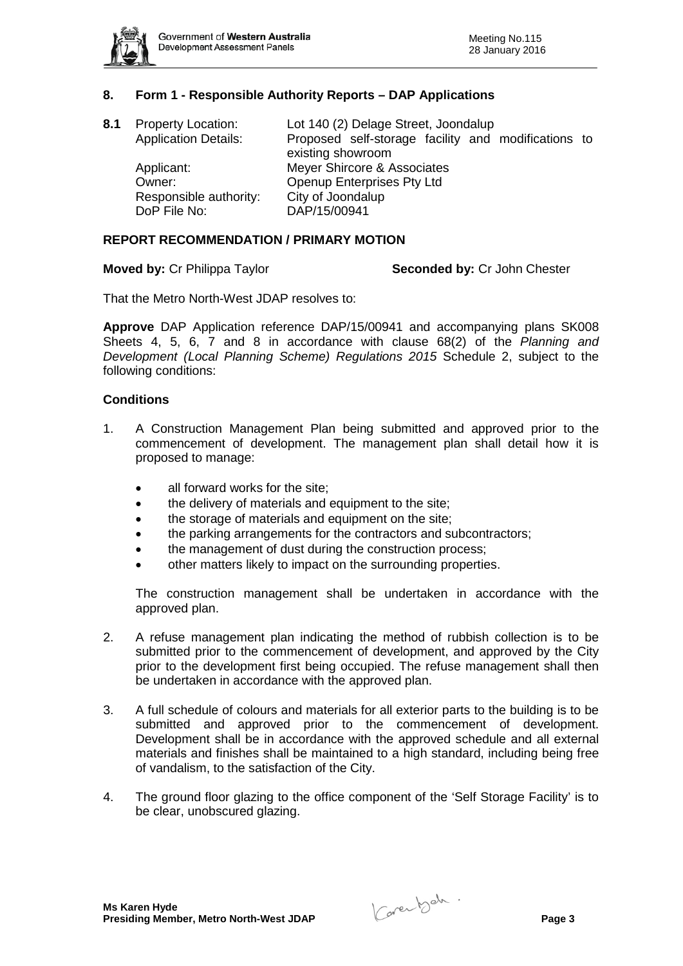

## **8. Form 1 - Responsible Authority Reports – DAP Applications**

| 8.1 | <b>Property Location:</b><br><b>Application Details:</b> | Lot 140 (2) Delage Street, Joondalup<br>Proposed self-storage facility and modifications to<br>existing showroom |
|-----|----------------------------------------------------------|------------------------------------------------------------------------------------------------------------------|
|     | Applicant:<br>Owner:                                     | Meyer Shircore & Associates<br>Openup Enterprises Pty Ltd                                                        |
|     | Responsible authority:<br>DoP File No:                   | City of Joondalup<br>DAP/15/00941                                                                                |

#### **REPORT RECOMMENDATION / PRIMARY MOTION**

**Moved by:** Cr Philippa Taylor **Seconded by:** Cr John Chester

That the Metro North-West JDAP resolves to:

**Approve** DAP Application reference DAP/15/00941 and accompanying plans SK008 Sheets 4, 5, 6, 7 and 8 in accordance with clause 68(2) of the *Planning and Development (Local Planning Scheme) Regulations 2015* Schedule 2, subject to the following conditions:

#### **Conditions**

- 1. A Construction Management Plan being submitted and approved prior to the commencement of development. The management plan shall detail how it is proposed to manage:
	- all forward works for the site:
	- the delivery of materials and equipment to the site;
	- the storage of materials and equipment on the site;
	- the parking arrangements for the contractors and subcontractors;
	- the management of dust during the construction process;
	- other matters likely to impact on the surrounding properties.

The construction management shall be undertaken in accordance with the approved plan.

- 2. A refuse management plan indicating the method of rubbish collection is to be submitted prior to the commencement of development, and approved by the City prior to the development first being occupied. The refuse management shall then be undertaken in accordance with the approved plan.
- 3. A full schedule of colours and materials for all exterior parts to the building is to be submitted and approved prior to the commencement of development. Development shall be in accordance with the approved schedule and all external materials and finishes shall be maintained to a high standard, including being free of vandalism, to the satisfaction of the City.
- 4. The ground floor glazing to the office component of the 'Self Storage Facility' is to be clear, unobscured glazing.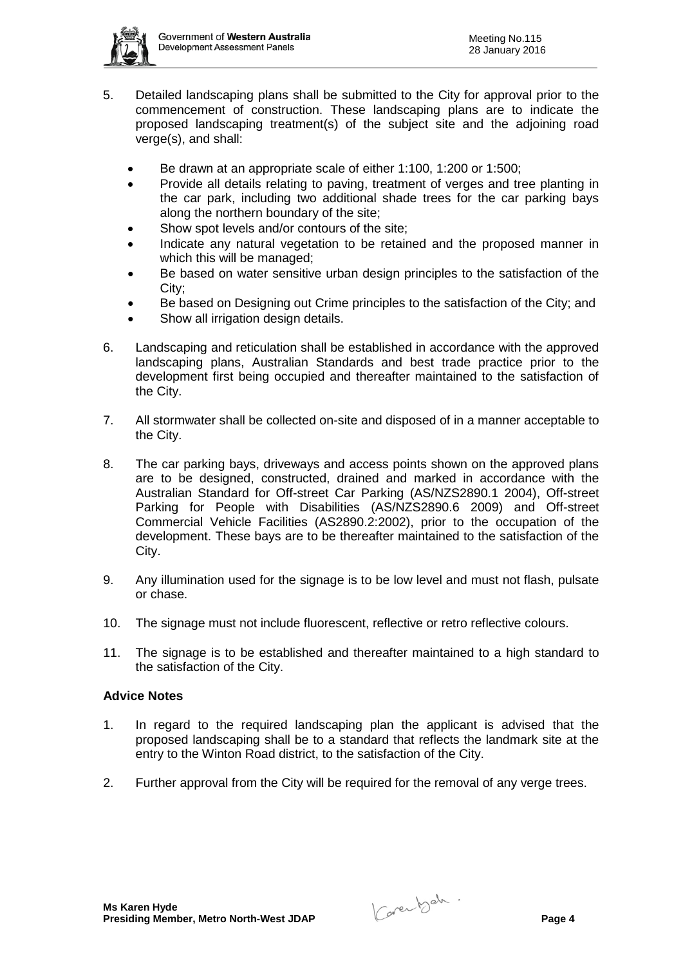

- 5. Detailed landscaping plans shall be submitted to the City for approval prior to the commencement of construction. These landscaping plans are to indicate the proposed landscaping treatment(s) of the subject site and the adjoining road verge(s), and shall:
	- Be drawn at an appropriate scale of either 1:100, 1:200 or 1:500;
	- Provide all details relating to paving, treatment of verges and tree planting in the car park, including two additional shade trees for the car parking bays along the northern boundary of the site;
	- Show spot levels and/or contours of the site:
	- Indicate any natural vegetation to be retained and the proposed manner in which this will be managed;
	- Be based on water sensitive urban design principles to the satisfaction of the City;
	- Be based on Designing out Crime principles to the satisfaction of the City; and
	- Show all irrigation design details.
- 6. Landscaping and reticulation shall be established in accordance with the approved landscaping plans, Australian Standards and best trade practice prior to the development first being occupied and thereafter maintained to the satisfaction of the City.
- 7. All stormwater shall be collected on-site and disposed of in a manner acceptable to the City.
- 8. The car parking bays, driveways and access points shown on the approved plans are to be designed, constructed, drained and marked in accordance with the Australian Standard for Off-street Car Parking (AS/NZS2890.1 2004), Off-street Parking for People with Disabilities (AS/NZS2890.6 2009) and Off-street Commercial Vehicle Facilities (AS2890.2:2002), prior to the occupation of the development. These bays are to be thereafter maintained to the satisfaction of the City.
- 9. Any illumination used for the signage is to be low level and must not flash, pulsate or chase.
- 10. The signage must not include fluorescent, reflective or retro reflective colours.
- 11. The signage is to be established and thereafter maintained to a high standard to the satisfaction of the City.

## **Advice Notes**

- 1. In regard to the required landscaping plan the applicant is advised that the proposed landscaping shall be to a standard that reflects the landmark site at the entry to the Winton Road district, to the satisfaction of the City.
- 2. Further approval from the City will be required for the removal of any verge trees.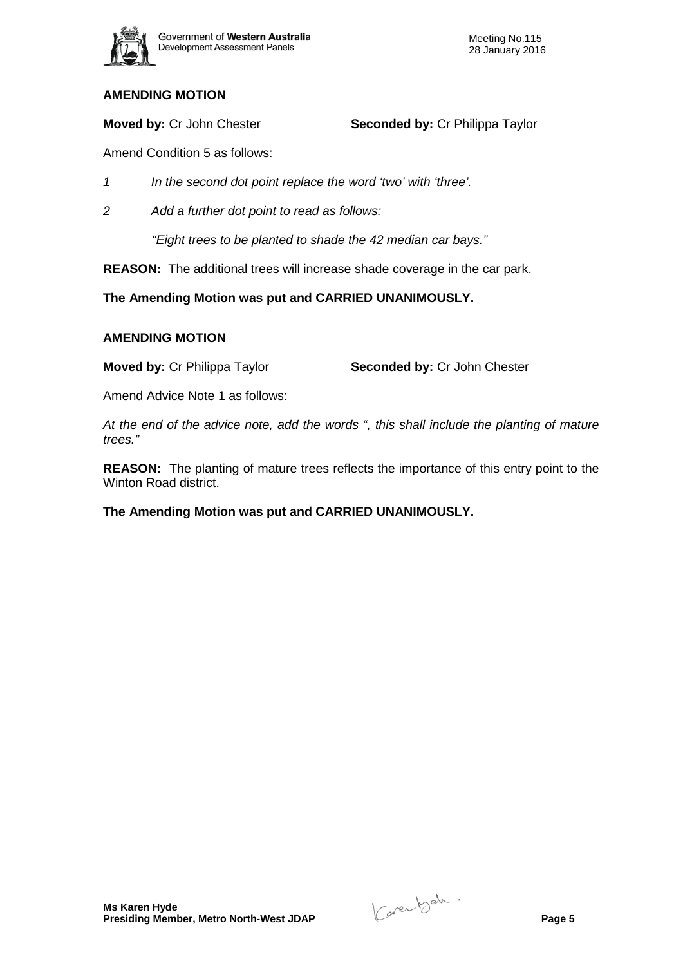

**Moved by:** Cr John Chester **Seconded by:** Cr Philippa Taylor

Amend Condition 5 as follows:

- *1 In the second dot point replace the word 'two' with 'three'.*
- *2 Add a further dot point to read as follows:*

*"Eight trees to be planted to shade the 42 median car bays."* 

**REASON:** The additional trees will increase shade coverage in the car park.

**The Amending Motion was put and CARRIED UNANIMOUSLY.**

## **AMENDING MOTION**

**Moved by:** Cr Philippa Taylor **Seconded by:** Cr John Chester

Amend Advice Note 1 as follows:

*At the end of the advice note, add the words ", this shall include the planting of mature trees."*

**REASON:** The planting of mature trees reflects the importance of this entry point to the Winton Road district.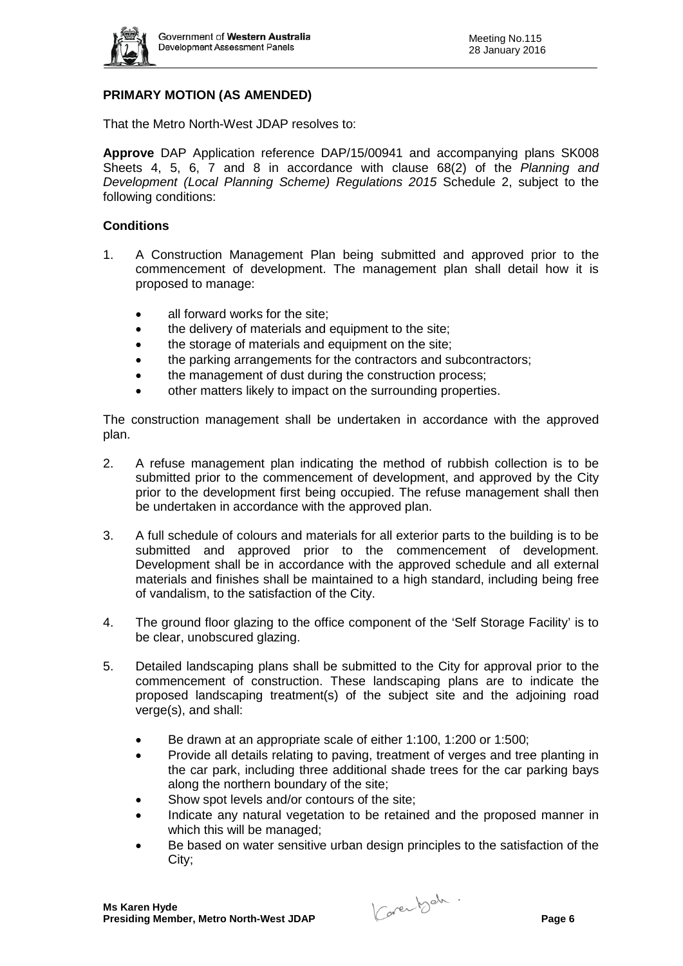

# **PRIMARY MOTION (AS AMENDED)**

That the Metro North-West JDAP resolves to:

**Approve** DAP Application reference DAP/15/00941 and accompanying plans SK008 Sheets 4, 5, 6, 7 and 8 in accordance with clause 68(2) of the *Planning and Development (Local Planning Scheme) Regulations 2015* Schedule 2, subject to the following conditions:

#### **Conditions**

- 1. A Construction Management Plan being submitted and approved prior to the commencement of development. The management plan shall detail how it is proposed to manage:
	- all forward works for the site:
	- the delivery of materials and equipment to the site;
	- the storage of materials and equipment on the site;
	- the parking arrangements for the contractors and subcontractors:
	- the management of dust during the construction process;
	- other matters likely to impact on the surrounding properties.

The construction management shall be undertaken in accordance with the approved plan.

- 2. A refuse management plan indicating the method of rubbish collection is to be submitted prior to the commencement of development, and approved by the City prior to the development first being occupied. The refuse management shall then be undertaken in accordance with the approved plan.
- 3. A full schedule of colours and materials for all exterior parts to the building is to be submitted and approved prior to the commencement of development. Development shall be in accordance with the approved schedule and all external materials and finishes shall be maintained to a high standard, including being free of vandalism, to the satisfaction of the City.
- 4. The ground floor glazing to the office component of the 'Self Storage Facility' is to be clear, unobscured glazing.
- 5. Detailed landscaping plans shall be submitted to the City for approval prior to the commencement of construction. These landscaping plans are to indicate the proposed landscaping treatment(s) of the subject site and the adjoining road verge(s), and shall:
	- Be drawn at an appropriate scale of either 1:100, 1:200 or 1:500;
	- Provide all details relating to paving, treatment of verges and tree planting in the car park, including three additional shade trees for the car parking bays along the northern boundary of the site;
	- Show spot levels and/or contours of the site;
	- Indicate any natural vegetation to be retained and the proposed manner in which this will be managed;
	- Be based on water sensitive urban design principles to the satisfaction of the City;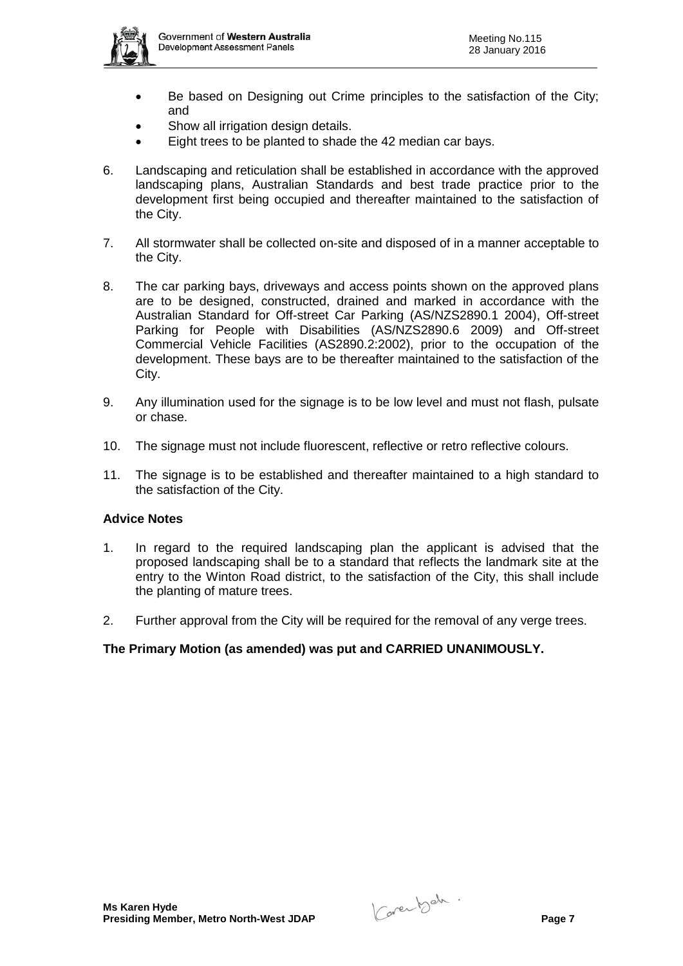

- Be based on Designing out Crime principles to the satisfaction of the City; and
- Show all irrigation design details.
- Eight trees to be planted to shade the 42 median car bays.
- 6. Landscaping and reticulation shall be established in accordance with the approved landscaping plans, Australian Standards and best trade practice prior to the development first being occupied and thereafter maintained to the satisfaction of the City.
- 7. All stormwater shall be collected on-site and disposed of in a manner acceptable to the City.
- 8. The car parking bays, driveways and access points shown on the approved plans are to be designed, constructed, drained and marked in accordance with the Australian Standard for Off-street Car Parking (AS/NZS2890.1 2004), Off-street Parking for People with Disabilities (AS/NZS2890.6 2009) and Off-street Commercial Vehicle Facilities (AS2890.2:2002), prior to the occupation of the development. These bays are to be thereafter maintained to the satisfaction of the City.
- 9. Any illumination used for the signage is to be low level and must not flash, pulsate or chase.
- 10. The signage must not include fluorescent, reflective or retro reflective colours.
- 11. The signage is to be established and thereafter maintained to a high standard to the satisfaction of the City.

## **Advice Notes**

- 1. In regard to the required landscaping plan the applicant is advised that the proposed landscaping shall be to a standard that reflects the landmark site at the entry to the Winton Road district, to the satisfaction of the City, this shall include the planting of mature trees.
- 2. Further approval from the City will be required for the removal of any verge trees.

## **The Primary Motion (as amended) was put and CARRIED UNANIMOUSLY.**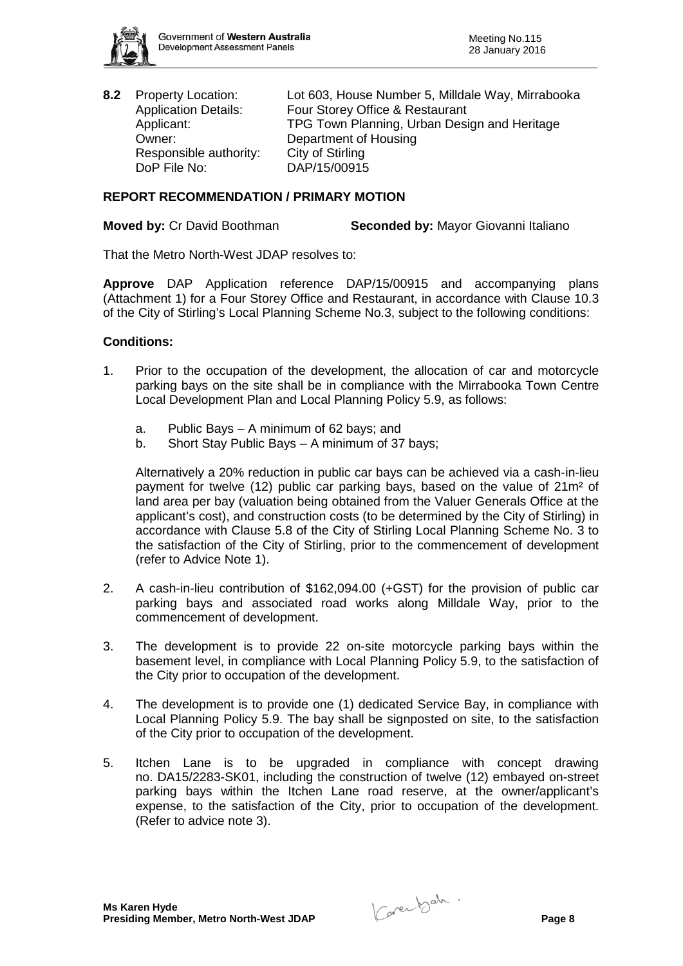

Responsible authority: City of Stirling DoP File No: DAP/15/00915

**8.2** Property Location: Lot 603, House Number 5, Milldale Way, Mirrabooka Application Details: Four Storey Office & Restaurant<br>Applicant: FPG Town Planning. Urban Desi TPG Town Planning, Urban Design and Heritage Owner: Department of Housing

# **REPORT RECOMMENDATION / PRIMARY MOTION**

**Moved by:** Cr David Boothman **Seconded by:** Mayor Giovanni Italiano

That the Metro North-West JDAP resolves to:

**Approve** DAP Application reference DAP/15/00915 and accompanying plans (Attachment 1) for a Four Storey Office and Restaurant, in accordance with Clause 10.3 of the City of Stirling's Local Planning Scheme No.3, subject to the following conditions:

## **Conditions:**

- 1. Prior to the occupation of the development, the allocation of car and motorcycle parking bays on the site shall be in compliance with the Mirrabooka Town Centre Local Development Plan and Local Planning Policy 5.9, as follows:
	- a. Public Bays A minimum of 62 bays; and
	- b. Short Stay Public Bays A minimum of 37 bays;

Alternatively a 20% reduction in public car bays can be achieved via a cash-in-lieu payment for twelve (12) public car parking bays, based on the value of 21m² of land area per bay (valuation being obtained from the Valuer Generals Office at the applicant's cost), and construction costs (to be determined by the City of Stirling) in accordance with Clause 5.8 of the City of Stirling Local Planning Scheme No. 3 to the satisfaction of the City of Stirling, prior to the commencement of development (refer to Advice Note 1).

- 2. A cash-in-lieu contribution of \$162,094.00 (+GST) for the provision of public car parking bays and associated road works along Milldale Way, prior to the commencement of development.
- 3. The development is to provide 22 on-site motorcycle parking bays within the basement level, in compliance with Local Planning Policy 5.9, to the satisfaction of the City prior to occupation of the development.
- 4. The development is to provide one (1) dedicated Service Bay, in compliance with Local Planning Policy 5.9. The bay shall be signposted on site, to the satisfaction of the City prior to occupation of the development.
- 5. Itchen Lane is to be upgraded in compliance with concept drawing no. DA15/2283-SK01, including the construction of twelve (12) embayed on-street parking bays within the Itchen Lane road reserve, at the owner/applicant's expense, to the satisfaction of the City, prior to occupation of the development. (Refer to advice note 3).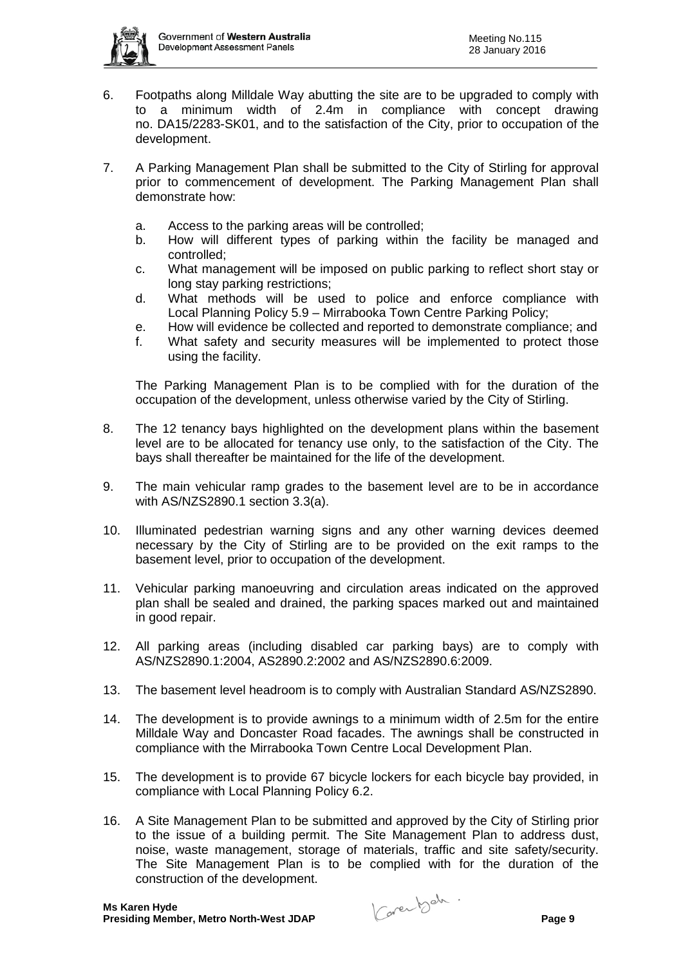

- 6. Footpaths along Milldale Way abutting the site are to be upgraded to comply with to a minimum width of 2.4m in compliance with concept drawing no. DA15/2283-SK01, and to the satisfaction of the City, prior to occupation of the development.
- 7. A Parking Management Plan shall be submitted to the City of Stirling for approval prior to commencement of development. The Parking Management Plan shall demonstrate how:
	- a. Access to the parking areas will be controlled;
	- b. How will different types of parking within the facility be managed and controlled;
	- c. What management will be imposed on public parking to reflect short stay or long stay parking restrictions;
	- d. What methods will be used to police and enforce compliance with Local Planning Policy 5.9 – Mirrabooka Town Centre Parking Policy;
	- e. How will evidence be collected and reported to demonstrate compliance; and
	- f. What safety and security measures will be implemented to protect those using the facility.

The Parking Management Plan is to be complied with for the duration of the occupation of the development, unless otherwise varied by the City of Stirling.

- 8. The 12 tenancy bays highlighted on the development plans within the basement level are to be allocated for tenancy use only, to the satisfaction of the City. The bays shall thereafter be maintained for the life of the development.
- 9. The main vehicular ramp grades to the basement level are to be in accordance with AS/NZS2890.1 section 3.3(a).
- 10. Illuminated pedestrian warning signs and any other warning devices deemed necessary by the City of Stirling are to be provided on the exit ramps to the basement level, prior to occupation of the development.
- 11. Vehicular parking manoeuvring and circulation areas indicated on the approved plan shall be sealed and drained, the parking spaces marked out and maintained in good repair.
- 12. All parking areas (including disabled car parking bays) are to comply with AS/NZS2890.1:2004, AS2890.2:2002 and AS/NZS2890.6:2009.
- 13. The basement level headroom is to comply with Australian Standard AS/NZS2890.
- 14. The development is to provide awnings to a minimum width of 2.5m for the entire Milldale Way and Doncaster Road facades. The awnings shall be constructed in compliance with the Mirrabooka Town Centre Local Development Plan.
- 15. The development is to provide 67 bicycle lockers for each bicycle bay provided, in compliance with Local Planning Policy 6.2.
- 16. A Site Management Plan to be submitted and approved by the City of Stirling prior to the issue of a building permit. The Site Management Plan to address dust, noise, waste management, storage of materials, traffic and site safety/security. The Site Management Plan is to be complied with for the duration of the construction of the development.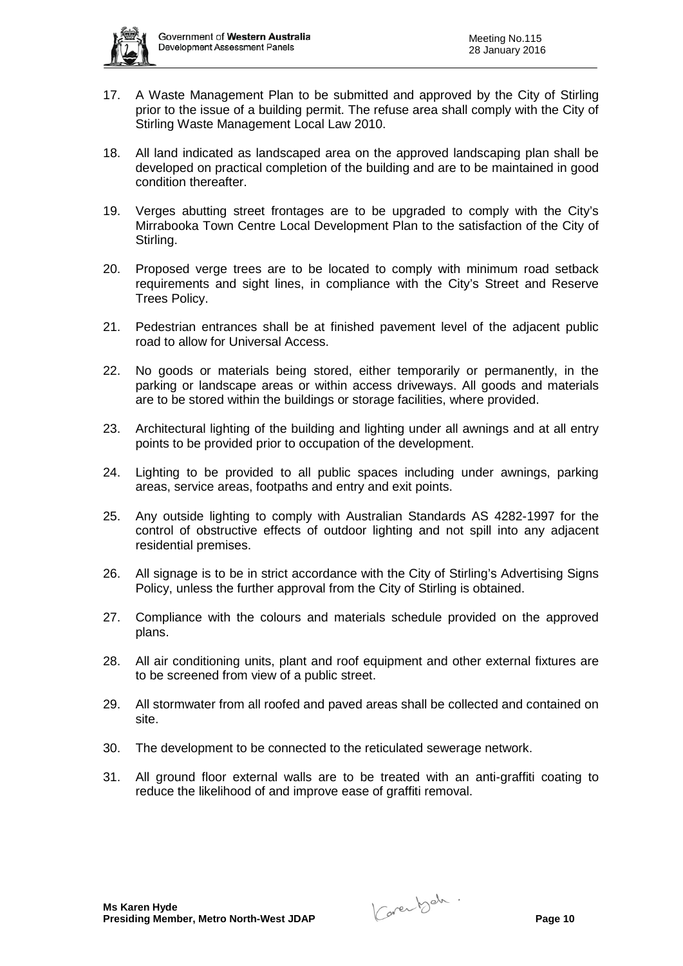

- 17. A Waste Management Plan to be submitted and approved by the City of Stirling prior to the issue of a building permit. The refuse area shall comply with the City of Stirling Waste Management Local Law 2010.
- 18. All land indicated as landscaped area on the approved landscaping plan shall be developed on practical completion of the building and are to be maintained in good condition thereafter.
- 19. Verges abutting street frontages are to be upgraded to comply with the City's Mirrabooka Town Centre Local Development Plan to the satisfaction of the City of Stirling.
- 20. Proposed verge trees are to be located to comply with minimum road setback requirements and sight lines, in compliance with the City's Street and Reserve Trees Policy.
- 21. Pedestrian entrances shall be at finished pavement level of the adjacent public road to allow for Universal Access.
- 22. No goods or materials being stored, either temporarily or permanently, in the parking or landscape areas or within access driveways. All goods and materials are to be stored within the buildings or storage facilities, where provided.
- 23. Architectural lighting of the building and lighting under all awnings and at all entry points to be provided prior to occupation of the development.
- 24. Lighting to be provided to all public spaces including under awnings, parking areas, service areas, footpaths and entry and exit points.
- 25. Any outside lighting to comply with Australian Standards AS 4282-1997 for the control of obstructive effects of outdoor lighting and not spill into any adjacent residential premises.
- 26. All signage is to be in strict accordance with the City of Stirling's Advertising Signs Policy, unless the further approval from the City of Stirling is obtained.
- 27. Compliance with the colours and materials schedule provided on the approved plans.
- 28. All air conditioning units, plant and roof equipment and other external fixtures are to be screened from view of a public street.
- 29. All stormwater from all roofed and paved areas shall be collected and contained on site.
- 30. The development to be connected to the reticulated sewerage network.
- 31. All ground floor external walls are to be treated with an anti-graffiti coating to reduce the likelihood of and improve ease of graffiti removal.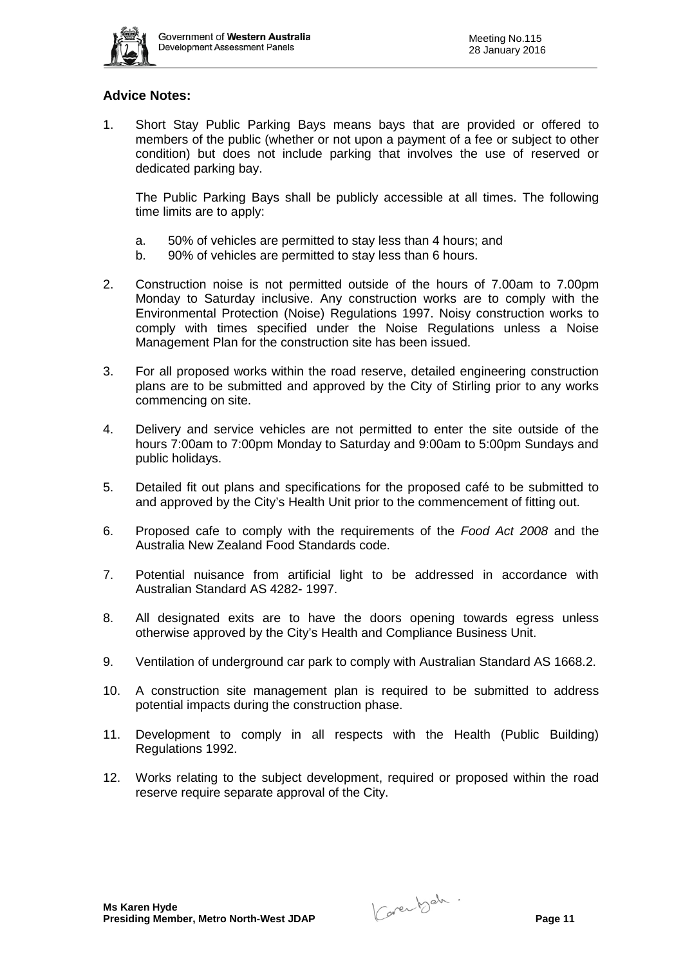

# **Advice Notes:**

1. Short Stay Public Parking Bays means bays that are provided or offered to members of the public (whether or not upon a payment of a fee or subject to other condition) but does not include parking that involves the use of reserved or dedicated parking bay.

The Public Parking Bays shall be publicly accessible at all times. The following time limits are to apply:

- a. 50% of vehicles are permitted to stay less than 4 hours; and
- b. 90% of vehicles are permitted to stay less than 6 hours.
- 2. Construction noise is not permitted outside of the hours of 7.00am to 7.00pm Monday to Saturday inclusive. Any construction works are to comply with the Environmental Protection (Noise) Regulations 1997. Noisy construction works to comply with times specified under the Noise Regulations unless a Noise Management Plan for the construction site has been issued.
- 3. For all proposed works within the road reserve, detailed engineering construction plans are to be submitted and approved by the City of Stirling prior to any works commencing on site.
- 4. Delivery and service vehicles are not permitted to enter the site outside of the hours 7:00am to 7:00pm Monday to Saturday and 9:00am to 5:00pm Sundays and public holidays.
- 5. Detailed fit out plans and specifications for the proposed café to be submitted to and approved by the City's Health Unit prior to the commencement of fitting out.
- 6. Proposed cafe to comply with the requirements of the *Food Act 2008* and the Australia New Zealand Food Standards code.
- 7. Potential nuisance from artificial light to be addressed in accordance with Australian Standard AS 4282- 1997.
- 8. All designated exits are to have the doors opening towards egress unless otherwise approved by the City's Health and Compliance Business Unit.
- 9. Ventilation of underground car park to comply with Australian Standard AS 1668.2.
- 10. A construction site management plan is required to be submitted to address potential impacts during the construction phase.
- 11. Development to comply in all respects with the Health (Public Building) Regulations 1992.
- 12. Works relating to the subject development, required or proposed within the road reserve require separate approval of the City.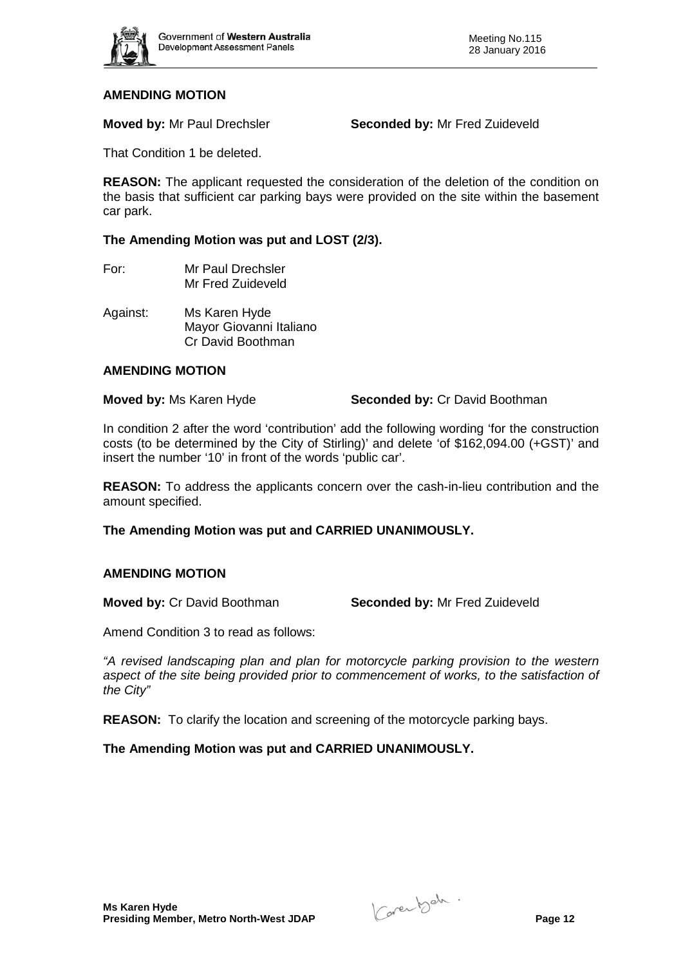

**Moved by:** Mr Paul Drechsler **Seconded by:** Mr Fred Zuideveld

That Condition 1 be deleted.

**REASON:** The applicant requested the consideration of the deletion of the condition on the basis that sufficient car parking bays were provided on the site within the basement car park.

**The Amending Motion was put and LOST (2/3).** 

- For: Mr Paul Drechsler Mr Fred Zuideveld
- Against: Ms Karen Hyde Mayor Giovanni Italiano Cr David Boothman

#### **AMENDING MOTION**

**Moved by:** Ms Karen Hyde **Seconded by:** Cr David Boothman

In condition 2 after the word 'contribution' add the following wording 'for the construction costs (to be determined by the City of Stirling)' and delete 'of \$162,094.00 (+GST)' and insert the number '10' in front of the words 'public car'.

**REASON:** To address the applicants concern over the cash-in-lieu contribution and the amount specified.

**The Amending Motion was put and CARRIED UNANIMOUSLY.**

## **AMENDING MOTION**

**Moved by:** Cr David Boothman **Seconded by:** Mr Fred Zuideveld

Amend Condition 3 to read as follows:

*"A revised landscaping plan and plan for motorcycle parking provision to the western aspect of the site being provided prior to commencement of works, to the satisfaction of the City"*

**REASON:** To clarify the location and screening of the motorcycle parking bays.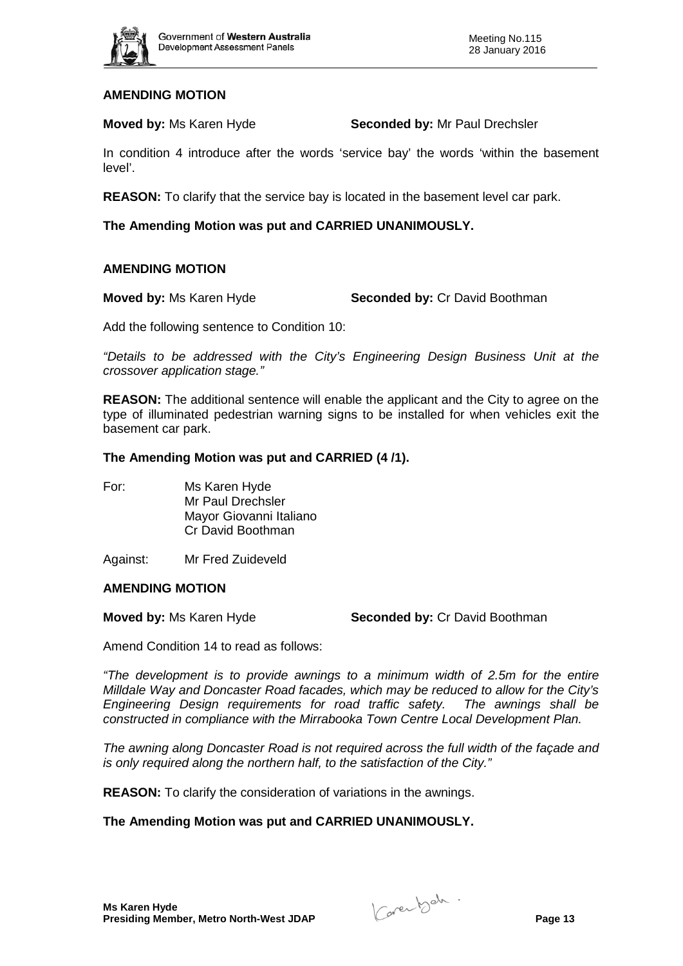

**Moved by:** Ms Karen Hyde **Seconded by:** Mr Paul Drechsler

In condition 4 introduce after the words 'service bay' the words 'within the basement level'.

**REASON:** To clarify that the service bay is located in the basement level car park.

**The Amending Motion was put and CARRIED UNANIMOUSLY.**

#### **AMENDING MOTION**

**Moved by:** Ms Karen Hyde **Seconded by:** Cr David Boothman

Add the following sentence to Condition 10:

*"Details to be addressed with the City's Engineering Design Business Unit at the crossover application stage."*

**REASON:** The additional sentence will enable the applicant and the City to agree on the type of illuminated pedestrian warning signs to be installed for when vehicles exit the basement car park.

#### **The Amending Motion was put and CARRIED (4 /1).**

| For: | Ms Karen Hyde           |
|------|-------------------------|
|      | Mr Paul Drechsler       |
|      | Mayor Giovanni Italiano |
|      | Cr David Boothman       |
|      |                         |

Against: Mr Fred Zuideveld

#### **AMENDING MOTION**

**Moved by:** Ms Karen Hyde **Seconded by:** Cr David Boothman

Amend Condition 14 to read as follows:

*"The development is to provide awnings to a minimum width of 2.5m for the entire Milldale Way and Doncaster Road facades, which may be reduced to allow for the City's Engineering Design requirements for road traffic safety. The awnings shall be constructed in compliance with the Mirrabooka Town Centre Local Development Plan.*

*The awning along Doncaster Road is not required across the full width of the façade and is only required along the northern half, to the satisfaction of the City."*

**REASON:** To clarify the consideration of variations in the awnings.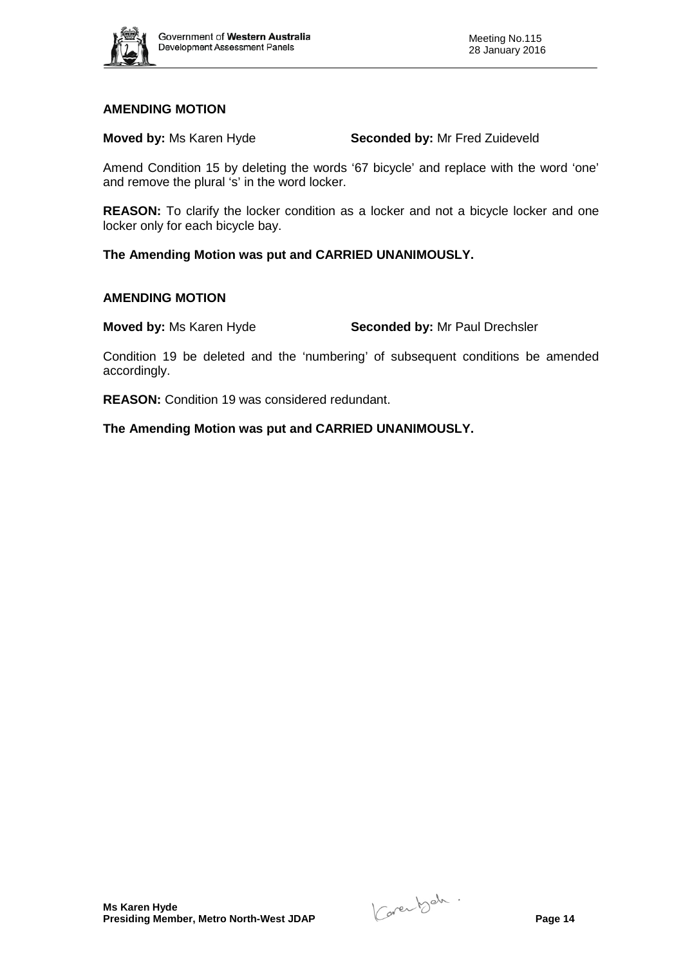

**Moved by:** Ms Karen Hyde **Seconded by:** Mr Fred Zuideveld

Amend Condition 15 by deleting the words '67 bicycle' and replace with the word 'one' and remove the plural 's' in the word locker.

**REASON:** To clarify the locker condition as a locker and not a bicycle locker and one locker only for each bicycle bay.

**The Amending Motion was put and CARRIED UNANIMOUSLY.**

#### **AMENDING MOTION**

**Moved by:** Ms Karen Hyde **Seconded by:** Mr Paul Drechsler

Condition 19 be deleted and the 'numbering' of subsequent conditions be amended accordingly.

**REASON:** Condition 19 was considered redundant.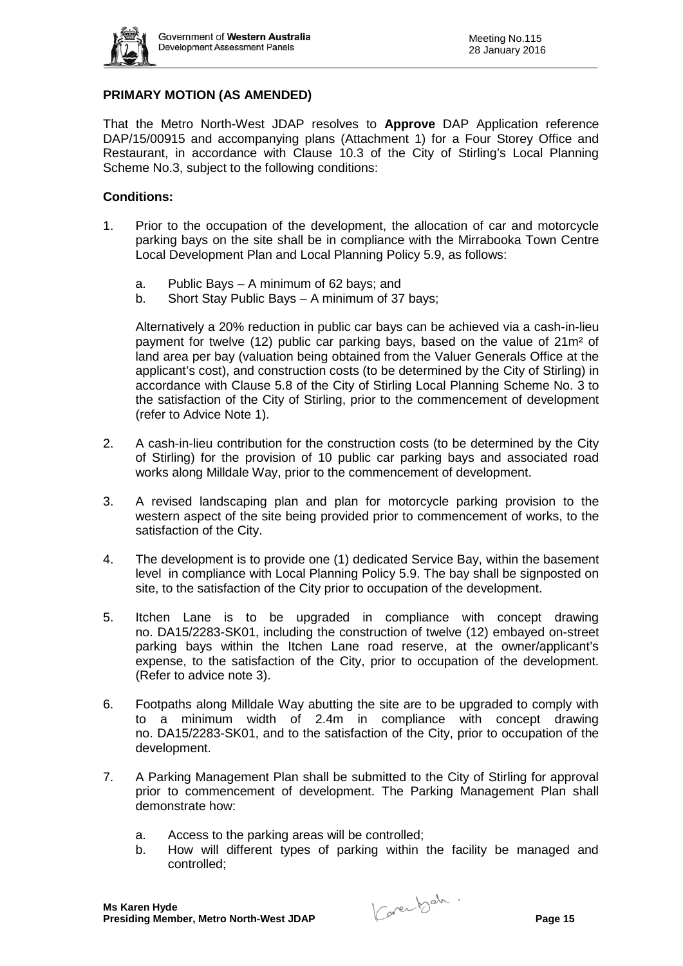

## **PRIMARY MOTION (AS AMENDED)**

That the Metro North-West JDAP resolves to **Approve** DAP Application reference DAP/15/00915 and accompanying plans (Attachment 1) for a Four Storey Office and Restaurant, in accordance with Clause 10.3 of the City of Stirling's Local Planning Scheme No.3, subject to the following conditions:

#### **Conditions:**

- 1. Prior to the occupation of the development, the allocation of car and motorcycle parking bays on the site shall be in compliance with the Mirrabooka Town Centre Local Development Plan and Local Planning Policy 5.9, as follows:
	- a. Public Bays A minimum of 62 bays; and
	- b. Short Stay Public Bays A minimum of 37 bays;

Alternatively a 20% reduction in public car bays can be achieved via a cash-in-lieu payment for twelve (12) public car parking bays, based on the value of 21m² of land area per bay (valuation being obtained from the Valuer Generals Office at the applicant's cost), and construction costs (to be determined by the City of Stirling) in accordance with Clause 5.8 of the City of Stirling Local Planning Scheme No. 3 to the satisfaction of the City of Stirling, prior to the commencement of development (refer to Advice Note 1).

- 2. A cash-in-lieu contribution for the construction costs (to be determined by the City of Stirling) for the provision of 10 public car parking bays and associated road works along Milldale Way, prior to the commencement of development.
- 3. A revised landscaping plan and plan for motorcycle parking provision to the western aspect of the site being provided prior to commencement of works, to the satisfaction of the City.
- 4. The development is to provide one (1) dedicated Service Bay, within the basement level in compliance with Local Planning Policy 5.9. The bay shall be signposted on site, to the satisfaction of the City prior to occupation of the development.
- 5. Itchen Lane is to be upgraded in compliance with concept drawing no. DA15/2283-SK01, including the construction of twelve (12) embayed on-street parking bays within the Itchen Lane road reserve, at the owner/applicant's expense, to the satisfaction of the City, prior to occupation of the development. (Refer to advice note 3).
- 6. Footpaths along Milldale Way abutting the site are to be upgraded to comply with to a minimum width of 2.4m in compliance with concept drawing no. DA15/2283-SK01, and to the satisfaction of the City, prior to occupation of the development.
- 7. A Parking Management Plan shall be submitted to the City of Stirling for approval prior to commencement of development. The Parking Management Plan shall demonstrate how:
	- a. Access to the parking areas will be controlled;
	- b. How will different types of parking within the facility be managed and controlled;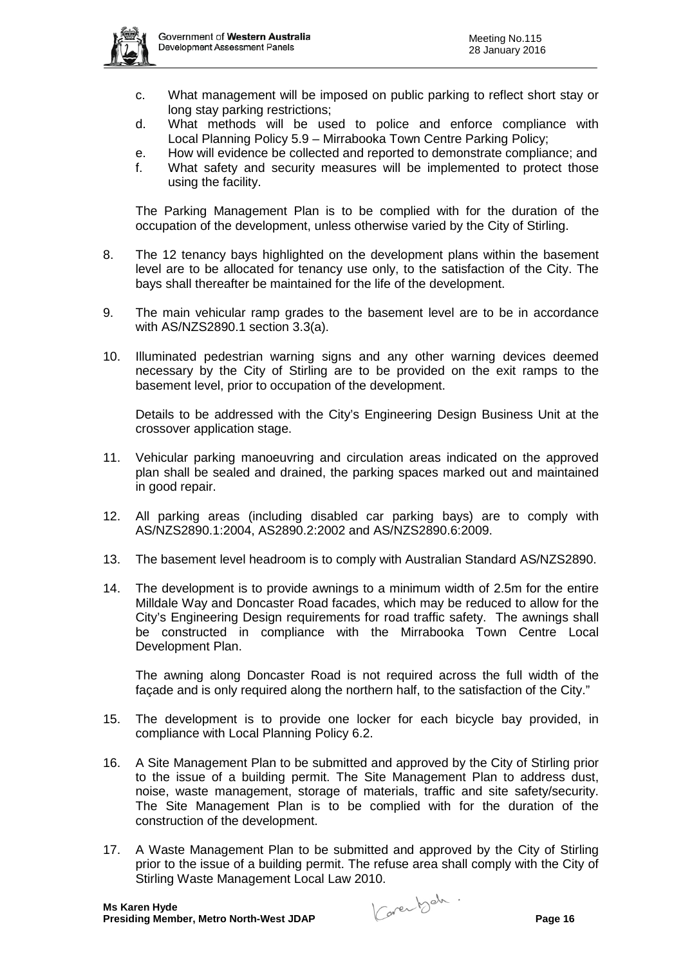

- c. What management will be imposed on public parking to reflect short stay or long stay parking restrictions;
- d. What methods will be used to police and enforce compliance with Local Planning Policy 5.9 – Mirrabooka Town Centre Parking Policy;
- e. How will evidence be collected and reported to demonstrate compliance; and f. What safety and security measures will be implemented to protect those using the facility.

The Parking Management Plan is to be complied with for the duration of the occupation of the development, unless otherwise varied by the City of Stirling.

- 8. The 12 tenancy bays highlighted on the development plans within the basement level are to be allocated for tenancy use only, to the satisfaction of the City. The bays shall thereafter be maintained for the life of the development.
- 9. The main vehicular ramp grades to the basement level are to be in accordance with AS/NZS2890.1 section 3.3(a).
- 10. Illuminated pedestrian warning signs and any other warning devices deemed necessary by the City of Stirling are to be provided on the exit ramps to the basement level, prior to occupation of the development.

Details to be addressed with the City's Engineering Design Business Unit at the crossover application stage.

- 11. Vehicular parking manoeuvring and circulation areas indicated on the approved plan shall be sealed and drained, the parking spaces marked out and maintained in good repair.
- 12. All parking areas (including disabled car parking bays) are to comply with AS/NZS2890.1:2004, AS2890.2:2002 and AS/NZS2890.6:2009.
- 13. The basement level headroom is to comply with Australian Standard AS/NZS2890.
- 14. The development is to provide awnings to a minimum width of 2.5m for the entire Milldale Way and Doncaster Road facades, which may be reduced to allow for the City's Engineering Design requirements for road traffic safety. The awnings shall be constructed in compliance with the Mirrabooka Town Centre Local Development Plan.

The awning along Doncaster Road is not required across the full width of the façade and is only required along the northern half, to the satisfaction of the City."

- 15. The development is to provide one locker for each bicycle bay provided, in compliance with Local Planning Policy 6.2.
- 16. A Site Management Plan to be submitted and approved by the City of Stirling prior to the issue of a building permit. The Site Management Plan to address dust, noise, waste management, storage of materials, traffic and site safety/security. The Site Management Plan is to be complied with for the duration of the construction of the development.
- 17. A Waste Management Plan to be submitted and approved by the City of Stirling prior to the issue of a building permit. The refuse area shall comply with the City of Stirling Waste Management Local Law 2010.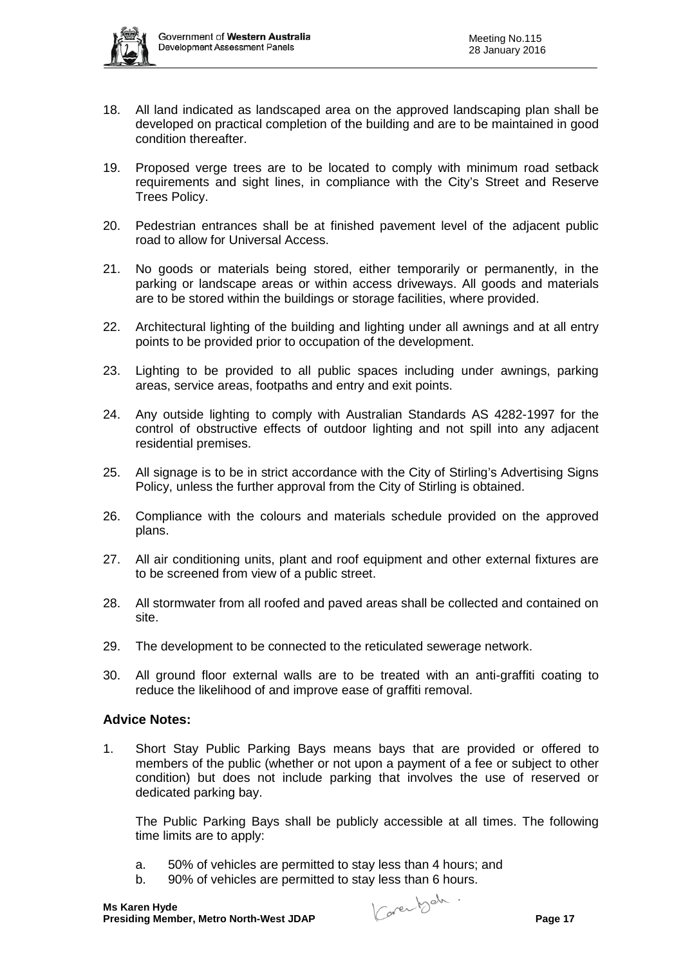

- 18. All land indicated as landscaped area on the approved landscaping plan shall be developed on practical completion of the building and are to be maintained in good condition thereafter.
- 19. Proposed verge trees are to be located to comply with minimum road setback requirements and sight lines, in compliance with the City's Street and Reserve Trees Policy.
- 20. Pedestrian entrances shall be at finished pavement level of the adjacent public road to allow for Universal Access.
- 21. No goods or materials being stored, either temporarily or permanently, in the parking or landscape areas or within access driveways. All goods and materials are to be stored within the buildings or storage facilities, where provided.
- 22. Architectural lighting of the building and lighting under all awnings and at all entry points to be provided prior to occupation of the development.
- 23. Lighting to be provided to all public spaces including under awnings, parking areas, service areas, footpaths and entry and exit points.
- 24. Any outside lighting to comply with Australian Standards AS 4282-1997 for the control of obstructive effects of outdoor lighting and not spill into any adjacent residential premises.
- 25. All signage is to be in strict accordance with the City of Stirling's Advertising Signs Policy, unless the further approval from the City of Stirling is obtained.
- 26. Compliance with the colours and materials schedule provided on the approved plans.
- 27. All air conditioning units, plant and roof equipment and other external fixtures are to be screened from view of a public street.
- 28. All stormwater from all roofed and paved areas shall be collected and contained on site.
- 29. The development to be connected to the reticulated sewerage network.
- 30. All ground floor external walls are to be treated with an anti-graffiti coating to reduce the likelihood of and improve ease of graffiti removal.

## **Advice Notes:**

1. Short Stay Public Parking Bays means bays that are provided or offered to members of the public (whether or not upon a payment of a fee or subject to other condition) but does not include parking that involves the use of reserved or dedicated parking bay.

The Public Parking Bays shall be publicly accessible at all times. The following time limits are to apply:

- a. 50% of vehicles are permitted to stay less than 4 hours; and
- b. 90% of vehicles are permitted to stay less than 6 hours.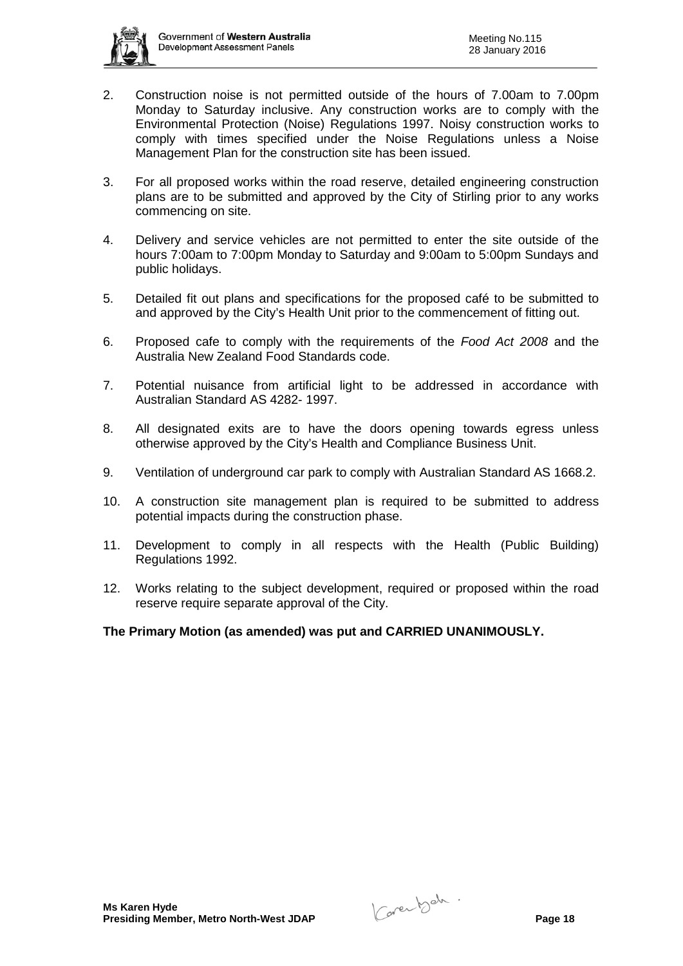

- 2. Construction noise is not permitted outside of the hours of 7.00am to 7.00pm Monday to Saturday inclusive. Any construction works are to comply with the Environmental Protection (Noise) Regulations 1997. Noisy construction works to comply with times specified under the Noise Regulations unless a Noise Management Plan for the construction site has been issued.
- 3. For all proposed works within the road reserve, detailed engineering construction plans are to be submitted and approved by the City of Stirling prior to any works commencing on site.
- 4. Delivery and service vehicles are not permitted to enter the site outside of the hours 7:00am to 7:00pm Monday to Saturday and 9:00am to 5:00pm Sundays and public holidays.
- 5. Detailed fit out plans and specifications for the proposed café to be submitted to and approved by the City's Health Unit prior to the commencement of fitting out.
- 6. Proposed cafe to comply with the requirements of the *Food Act 2008* and the Australia New Zealand Food Standards code.
- 7. Potential nuisance from artificial light to be addressed in accordance with Australian Standard AS 4282- 1997.
- 8. All designated exits are to have the doors opening towards egress unless otherwise approved by the City's Health and Compliance Business Unit.
- 9. Ventilation of underground car park to comply with Australian Standard AS 1668.2.
- 10. A construction site management plan is required to be submitted to address potential impacts during the construction phase.
- 11. Development to comply in all respects with the Health (Public Building) Regulations 1992.
- 12. Works relating to the subject development, required or proposed within the road reserve require separate approval of the City.

## **The Primary Motion (as amended) was put and CARRIED UNANIMOUSLY.**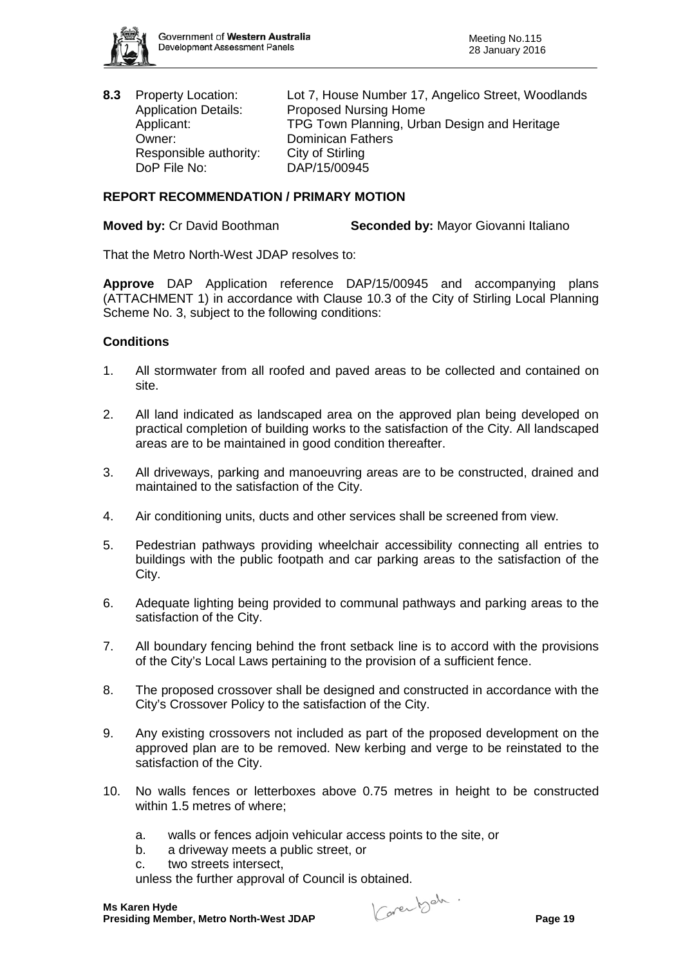

Responsible authority: City of Stirling DoP File No: DAP/15/00945

**8.3** Property Location: Lot 7, House Number 17, Angelico Street, Woodlands Application Details: Proposed Nursing Home<br>Applicant: PDG Town Planning. Urb Applicant: TPG Town Planning, Urban Design and Heritage<br>
Owner: Dominican Fathers Dominican Fathers

# **REPORT RECOMMENDATION / PRIMARY MOTION**

**Moved by:** Cr David Boothman **Seconded by:** Mayor Giovanni Italiano

That the Metro North-West JDAP resolves to:

**Approve** DAP Application reference DAP/15/00945 and accompanying plans (ATTACHMENT 1) in accordance with Clause 10.3 of the City of Stirling Local Planning Scheme No. 3, subject to the following conditions:

## **Conditions**

- 1. All stormwater from all roofed and paved areas to be collected and contained on site.
- 2. All land indicated as landscaped area on the approved plan being developed on practical completion of building works to the satisfaction of the City. All landscaped areas are to be maintained in good condition thereafter.
- 3. All driveways, parking and manoeuvring areas are to be constructed, drained and maintained to the satisfaction of the City.
- 4. Air conditioning units, ducts and other services shall be screened from view.
- 5. Pedestrian pathways providing wheelchair accessibility connecting all entries to buildings with the public footpath and car parking areas to the satisfaction of the City.
- 6. Adequate lighting being provided to communal pathways and parking areas to the satisfaction of the City.
- 7. All boundary fencing behind the front setback line is to accord with the provisions of the City's Local Laws pertaining to the provision of a sufficient fence.
- 8. The proposed crossover shall be designed and constructed in accordance with the City's Crossover Policy to the satisfaction of the City.
- 9. Any existing crossovers not included as part of the proposed development on the approved plan are to be removed. New kerbing and verge to be reinstated to the satisfaction of the City.
- 10. No walls fences or letterboxes above 0.75 metres in height to be constructed within 1.5 metres of where;
	- a. walls or fences adjoin vehicular access points to the site, or
	- b. a driveway meets a public street, or
	- c. two streets intersect,

unless the further approval of Council is obtained.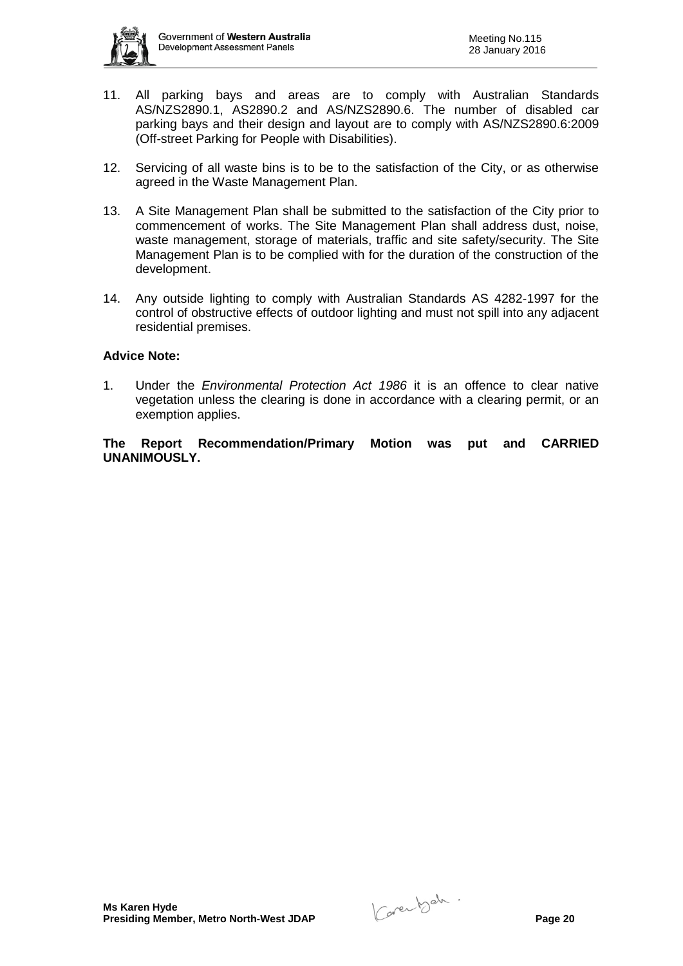

- 11. All parking bays and areas are to comply with Australian Standards AS/NZS2890.1, AS2890.2 and AS/NZS2890.6. The number of disabled car parking bays and their design and layout are to comply with AS/NZS2890.6:2009 (Off-street Parking for People with Disabilities).
- 12. Servicing of all waste bins is to be to the satisfaction of the City, or as otherwise agreed in the Waste Management Plan.
- 13. A Site Management Plan shall be submitted to the satisfaction of the City prior to commencement of works. The Site Management Plan shall address dust, noise, waste management, storage of materials, traffic and site safety/security. The Site Management Plan is to be complied with for the duration of the construction of the development.
- 14. Any outside lighting to comply with Australian Standards AS 4282-1997 for the control of obstructive effects of outdoor lighting and must not spill into any adjacent residential premises.

#### **Advice Note:**

1. Under the *Environmental Protection Act 1986* it is an offence to clear native vegetation unless the clearing is done in accordance with a clearing permit, or an exemption applies.

**The Report Recommendation/Primary Motion was put and CARRIED UNANIMOUSLY.**